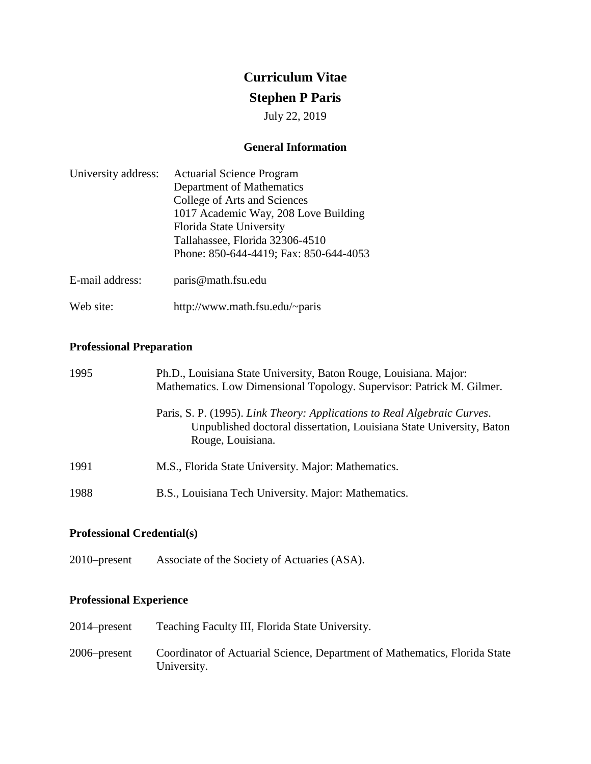# **Curriculum Vitae**

## **Stephen P Paris**

July 22, 2019

## **General Information**

| University address: | <b>Actuarial Science Program</b>       |
|---------------------|----------------------------------------|
|                     | Department of Mathematics              |
|                     | College of Arts and Sciences           |
|                     | 1017 Academic Way, 208 Love Building   |
|                     | Florida State University               |
|                     | Tallahassee, Florida 32306-4510        |
|                     | Phone: 850-644-4419; Fax: 850-644-4053 |
| E-mail address:     | paris@math.fsu.edu                     |

Web site: <http://www.math.fsu.edu/~paris>

## **Professional Preparation**

| 1995 | Ph.D., Louisiana State University, Baton Rouge, Louisiana. Major:<br>Mathematics. Low Dimensional Topology. Supervisor: Patrick M. Gilmer.                            |
|------|-----------------------------------------------------------------------------------------------------------------------------------------------------------------------|
|      | Paris, S. P. (1995). Link Theory: Applications to Real Algebraic Curves.<br>Unpublished doctoral dissertation, Louisiana State University, Baton<br>Rouge, Louisiana. |
| 1991 | M.S., Florida State University. Major: Mathematics.                                                                                                                   |
| 1988 | B.S., Louisiana Tech University. Major: Mathematics.                                                                                                                  |

## **Professional Credential(s)**

2010–present Associate of the Society of Actuaries (ASA).

## **Professional Experience**

| $2014$ -present | Teaching Faculty III, Florida State University.                                           |
|-----------------|-------------------------------------------------------------------------------------------|
| $2006$ -present | Coordinator of Actuarial Science, Department of Mathematics, Florida State<br>University. |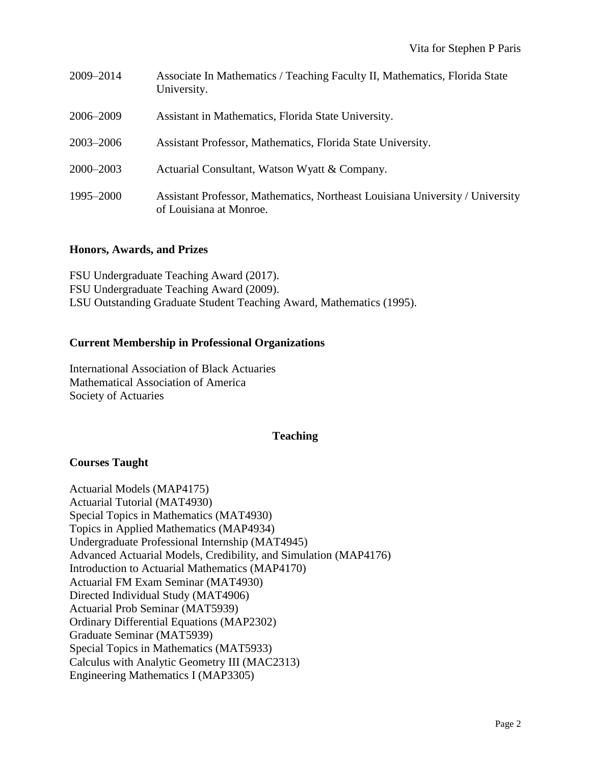| 2009-2014 | Associate In Mathematics / Teaching Faculty II, Mathematics, Florida State<br>University.                |
|-----------|----------------------------------------------------------------------------------------------------------|
| 2006–2009 | Assistant in Mathematics, Florida State University.                                                      |
| 2003-2006 | Assistant Professor, Mathematics, Florida State University.                                              |
| 2000-2003 | Actuarial Consultant, Watson Wyatt & Company.                                                            |
| 1995–2000 | Assistant Professor, Mathematics, Northeast Louisiana University / University<br>of Louisiana at Monroe. |

## **Honors, Awards, and Prizes**

FSU Undergraduate Teaching Award (2017). FSU Undergraduate Teaching Award (2009). LSU Outstanding Graduate Student Teaching Award, Mathematics (1995).

#### **Current Membership in Professional Organizations**

International Association of Black Actuaries Mathematical Association of America Society of Actuaries

#### **Teaching**

#### **Courses Taught**

Actuarial Models (MAP4175) Actuarial Tutorial (MAT4930) Special Topics in Mathematics (MAT4930) Topics in Applied Mathematics (MAP4934) Undergraduate Professional Internship (MAT4945) Advanced Actuarial Models, Credibility, and Simulation (MAP4176) Introduction to Actuarial Mathematics (MAP4170) Actuarial FM Exam Seminar (MAT4930) Directed Individual Study (MAT4906) Actuarial Prob Seminar (MAT5939) Ordinary Differential Equations (MAP2302) Graduate Seminar (MAT5939) Special Topics in Mathematics (MAT5933) Calculus with Analytic Geometry III (MAC2313) Engineering Mathematics I (MAP3305)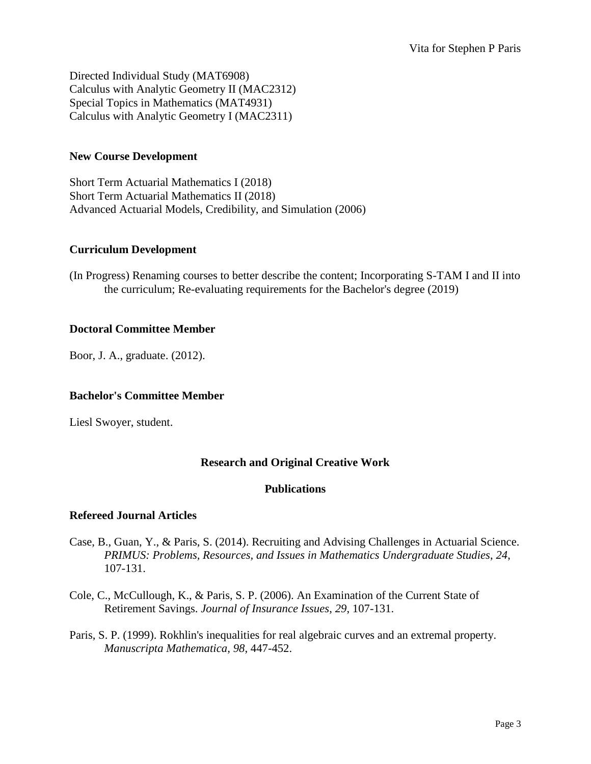Directed Individual Study (MAT6908) Calculus with Analytic Geometry II (MAC2312) Special Topics in Mathematics (MAT4931) Calculus with Analytic Geometry I (MAC2311)

## **New Course Development**

Short Term Actuarial Mathematics I (2018) Short Term Actuarial Mathematics II (2018) Advanced Actuarial Models, Credibility, and Simulation (2006)

## **Curriculum Development**

(In Progress) Renaming courses to better describe the content; Incorporating S-TAM I and II into the curriculum; Re-evaluating requirements for the Bachelor's degree (2019)

## **Doctoral Committee Member**

Boor, J. A., graduate. (2012).

## **Bachelor's Committee Member**

Liesl Swoyer, student.

## **Research and Original Creative Work**

## **Publications**

## **Refereed Journal Articles**

- Case, B., Guan, Y., & Paris, S. (2014). Recruiting and Advising Challenges in Actuarial Science. *PRIMUS: Problems, Resources, and Issues in Mathematics Undergraduate Studies*, *24*, 107-131.
- Cole, C., McCullough, K., & Paris, S. P. (2006). An Examination of the Current State of Retirement Savings. *Journal of Insurance Issues*, *29*, 107-131.
- Paris, S. P. (1999). Rokhlin's inequalities for real algebraic curves and an extremal property. *Manuscripta Mathematica*, *98*, 447-452.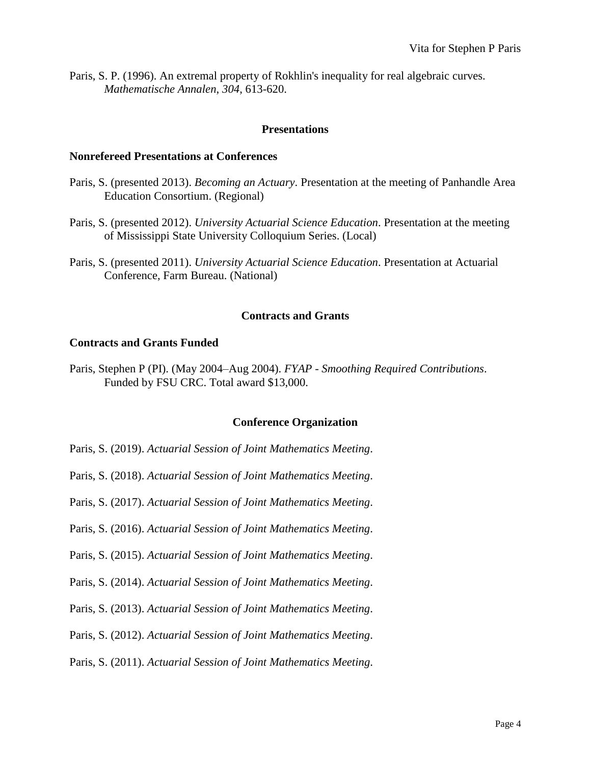Paris, S. P. (1996). An extremal property of Rokhlin's inequality for real algebraic curves. *Mathematische Annalen*, *304*, 613-620.

## **Presentations**

#### **Nonrefereed Presentations at Conferences**

- Paris, S. (presented 2013). *Becoming an Actuary*. Presentation at the meeting of Panhandle Area Education Consortium. (Regional)
- Paris, S. (presented 2012). *University Actuarial Science Education*. Presentation at the meeting of Mississippi State University Colloquium Series. (Local)
- Paris, S. (presented 2011). *University Actuarial Science Education*. Presentation at Actuarial Conference, Farm Bureau. (National)

## **Contracts and Grants**

#### **Contracts and Grants Funded**

Paris, Stephen P (PI). (May 2004–Aug 2004). *FYAP - Smoothing Required Contributions*. Funded by FSU CRC. Total award \$13,000.

#### **Conference Organization**

- Paris, S. (2019). *Actuarial Session of Joint Mathematics Meeting*.
- Paris, S. (2018). *Actuarial Session of Joint Mathematics Meeting*.
- Paris, S. (2017). *Actuarial Session of Joint Mathematics Meeting*.
- Paris, S. (2016). *Actuarial Session of Joint Mathematics Meeting*.
- Paris, S. (2015). *Actuarial Session of Joint Mathematics Meeting*.
- Paris, S. (2014). *Actuarial Session of Joint Mathematics Meeting*.
- Paris, S. (2013). *Actuarial Session of Joint Mathematics Meeting*.
- Paris, S. (2012). *Actuarial Session of Joint Mathematics Meeting*.
- Paris, S. (2011). *Actuarial Session of Joint Mathematics Meeting*.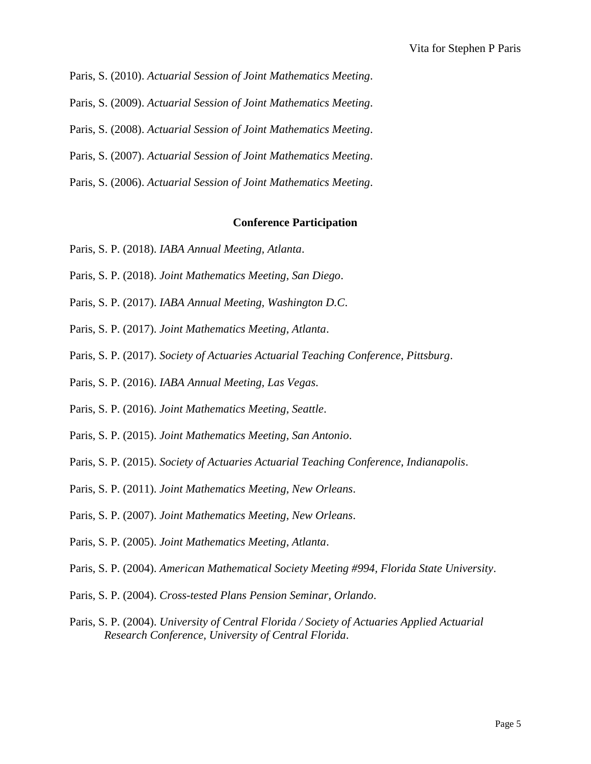Paris, S. (2010). *Actuarial Session of Joint Mathematics Meeting*. Paris, S. (2009). *Actuarial Session of Joint Mathematics Meeting*. Paris, S. (2008). *Actuarial Session of Joint Mathematics Meeting*. Paris, S. (2007). *Actuarial Session of Joint Mathematics Meeting*.

Paris, S. (2006). *Actuarial Session of Joint Mathematics Meeting*.

#### **Conference Participation**

- Paris, S. P. (2018). *IABA Annual Meeting, Atlanta*.
- Paris, S. P. (2018). *Joint Mathematics Meeting, San Diego*.
- Paris, S. P. (2017). *IABA Annual Meeting, Washington D.C*.
- Paris, S. P. (2017). *Joint Mathematics Meeting, Atlanta*.
- Paris, S. P. (2017). *Society of Actuaries Actuarial Teaching Conference, Pittsburg*.
- Paris, S. P. (2016). *IABA Annual Meeting, Las Vegas*.
- Paris, S. P. (2016). *Joint Mathematics Meeting, Seattle*.
- Paris, S. P. (2015). *Joint Mathematics Meeting, San Antonio*.
- Paris, S. P. (2015). *Society of Actuaries Actuarial Teaching Conference, Indianapolis*.
- Paris, S. P. (2011). *Joint Mathematics Meeting, New Orleans*.
- Paris, S. P. (2007). *Joint Mathematics Meeting, New Orleans*.
- Paris, S. P. (2005). *Joint Mathematics Meeting, Atlanta*.
- Paris, S. P. (2004). *American Mathematical Society Meeting #994, Florida State University*.
- Paris, S. P. (2004). *Cross-tested Plans Pension Seminar, Orlando*.
- Paris, S. P. (2004). *University of Central Florida / Society of Actuaries Applied Actuarial Research Conference, University of Central Florida*.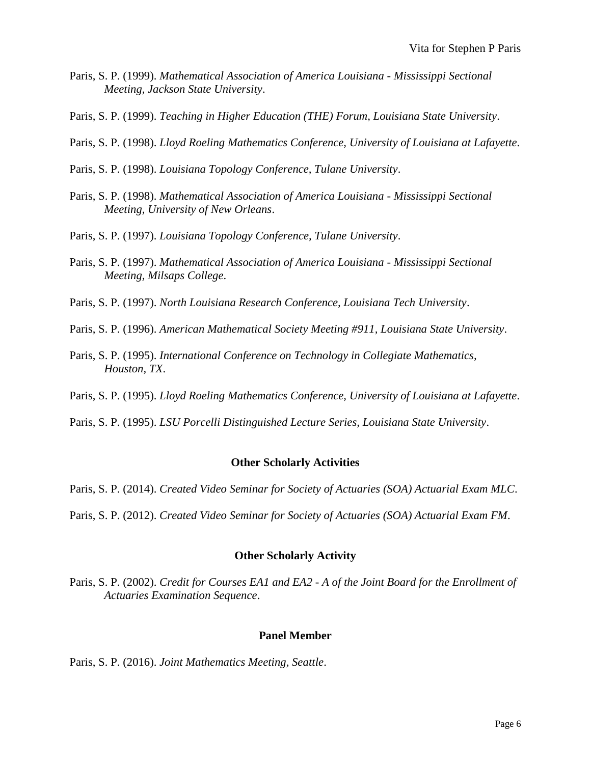- Paris, S. P. (1999). *Mathematical Association of America Louisiana - Mississippi Sectional Meeting, Jackson State University*.
- Paris, S. P. (1999). *Teaching in Higher Education (THE) Forum, Louisiana State University*.
- Paris, S. P. (1998). *Lloyd Roeling Mathematics Conference, University of Louisiana at Lafayette*.
- Paris, S. P. (1998). *Louisiana Topology Conference, Tulane University*.
- Paris, S. P. (1998). *Mathematical Association of America Louisiana - Mississippi Sectional Meeting, University of New Orleans*.
- Paris, S. P. (1997). *Louisiana Topology Conference, Tulane University*.
- Paris, S. P. (1997). *Mathematical Association of America Louisiana - Mississippi Sectional Meeting, Milsaps College*.
- Paris, S. P. (1997). *North Louisiana Research Conference, Louisiana Tech University*.
- Paris, S. P. (1996). *American Mathematical Society Meeting #911, Louisiana State University*.
- Paris, S. P. (1995). *International Conference on Technology in Collegiate Mathematics, Houston, TX*.
- Paris, S. P. (1995). *Lloyd Roeling Mathematics Conference, University of Louisiana at Lafayette*.
- Paris, S. P. (1995). *LSU Porcelli Distinguished Lecture Series, Louisiana State University*.

## **Other Scholarly Activities**

- Paris, S. P. (2014). *Created Video Seminar for Society of Actuaries (SOA) Actuarial Exam MLC*.
- Paris, S. P. (2012). *Created Video Seminar for Society of Actuaries (SOA) Actuarial Exam FM*.

## **Other Scholarly Activity**

Paris, S. P. (2002). *Credit for Courses EA1 and EA2 - A of the Joint Board for the Enrollment of Actuaries Examination Sequence*.

## **Panel Member**

Paris, S. P. (2016). *Joint Mathematics Meeting, Seattle*.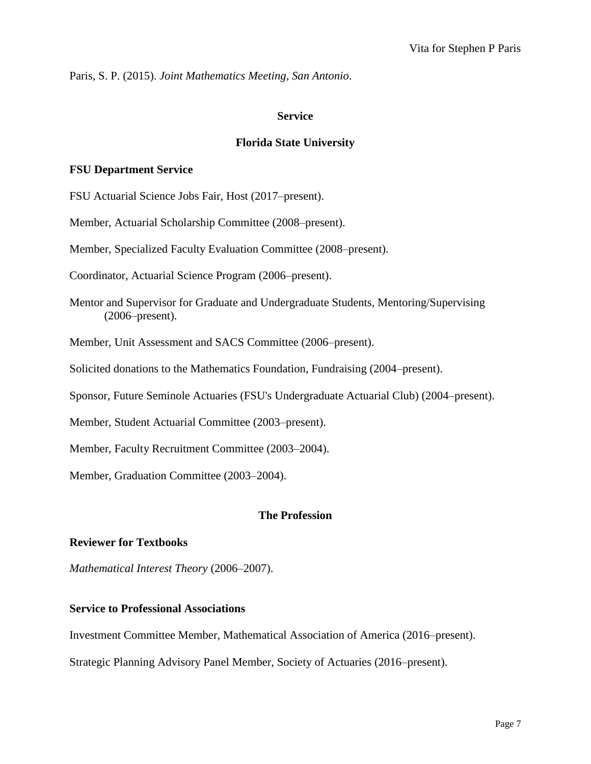Paris, S. P. (2015). *Joint Mathematics Meeting, San Antonio*.

## **Service**

## **Florida State University**

## **FSU Department Service**

FSU Actuarial Science Jobs Fair, Host (2017–present).

Member, Actuarial Scholarship Committee (2008–present).

Member, Specialized Faculty Evaluation Committee (2008–present).

Coordinator, Actuarial Science Program (2006–present).

Mentor and Supervisor for Graduate and Undergraduate Students, Mentoring/Supervising (2006–present).

Member, Unit Assessment and SACS Committee (2006–present).

Solicited donations to the Mathematics Foundation, Fundraising (2004–present).

Sponsor, Future Seminole Actuaries (FSU's Undergraduate Actuarial Club) (2004–present).

Member, Student Actuarial Committee (2003–present).

Member, Faculty Recruitment Committee (2003–2004).

Member, Graduation Committee (2003–2004).

#### **The Profession**

#### **Reviewer for Textbooks**

*Mathematical Interest Theory* (2006–2007).

## **Service to Professional Associations**

Investment Committee Member, Mathematical Association of America (2016–present).

Strategic Planning Advisory Panel Member, Society of Actuaries (2016–present).